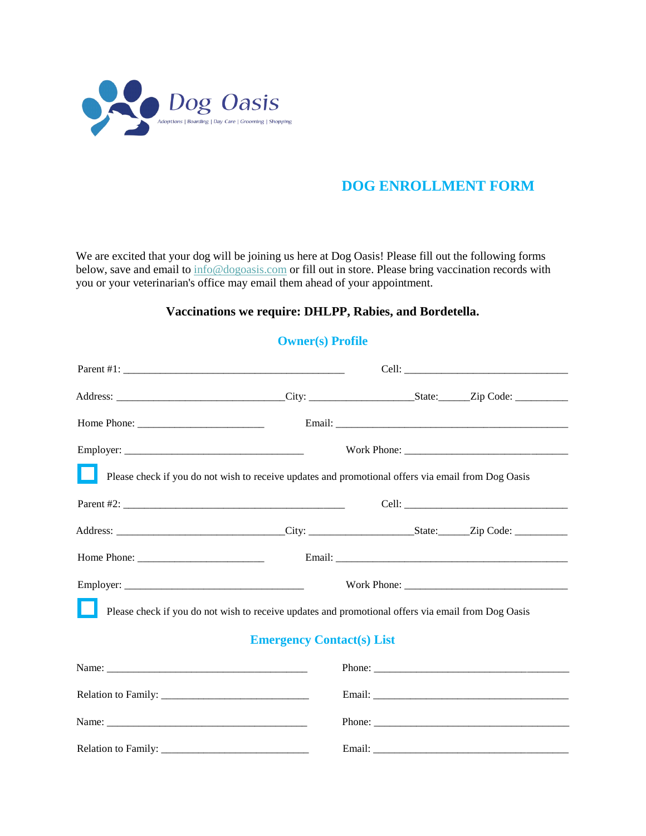

We are excited that your dog will be joining us here at Dog Oasis! Please fill out the following forms below, save and email to [info@dogoasis.com](mailto:kovan@dogoasis.com) or fill out in store. Please bring vaccination records with you or your veterinarian's office may email them ahead of your appointment.

### **Vaccinations we require: DHLPP, Rabies, and Bordetella.**

| Please check if you do not wish to receive updates and promotional offers via email from Dog Oasis                                                                                                                                                                                                                |                                  |  |  |  |
|-------------------------------------------------------------------------------------------------------------------------------------------------------------------------------------------------------------------------------------------------------------------------------------------------------------------|----------------------------------|--|--|--|
|                                                                                                                                                                                                                                                                                                                   |                                  |  |  |  |
|                                                                                                                                                                                                                                                                                                                   |                                  |  |  |  |
| Home Phone: $\frac{1}{2}$ $\frac{1}{2}$ $\frac{1}{2}$ $\frac{1}{2}$ $\frac{1}{2}$ $\frac{1}{2}$ $\frac{1}{2}$ $\frac{1}{2}$ $\frac{1}{2}$ $\frac{1}{2}$ $\frac{1}{2}$ $\frac{1}{2}$ $\frac{1}{2}$ $\frac{1}{2}$ $\frac{1}{2}$ $\frac{1}{2}$ $\frac{1}{2}$ $\frac{1}{2}$ $\frac{1}{2}$ $\frac{1}{2}$ $\frac{1}{2}$ |                                  |  |  |  |
|                                                                                                                                                                                                                                                                                                                   |                                  |  |  |  |
| Please check if you do not wish to receive updates and promotional offers via email from Dog Oasis                                                                                                                                                                                                                |                                  |  |  |  |
|                                                                                                                                                                                                                                                                                                                   | <b>Emergency Contact(s) List</b> |  |  |  |
|                                                                                                                                                                                                                                                                                                                   |                                  |  |  |  |
|                                                                                                                                                                                                                                                                                                                   |                                  |  |  |  |
|                                                                                                                                                                                                                                                                                                                   |                                  |  |  |  |
|                                                                                                                                                                                                                                                                                                                   |                                  |  |  |  |

#### **Owner(s) Profile**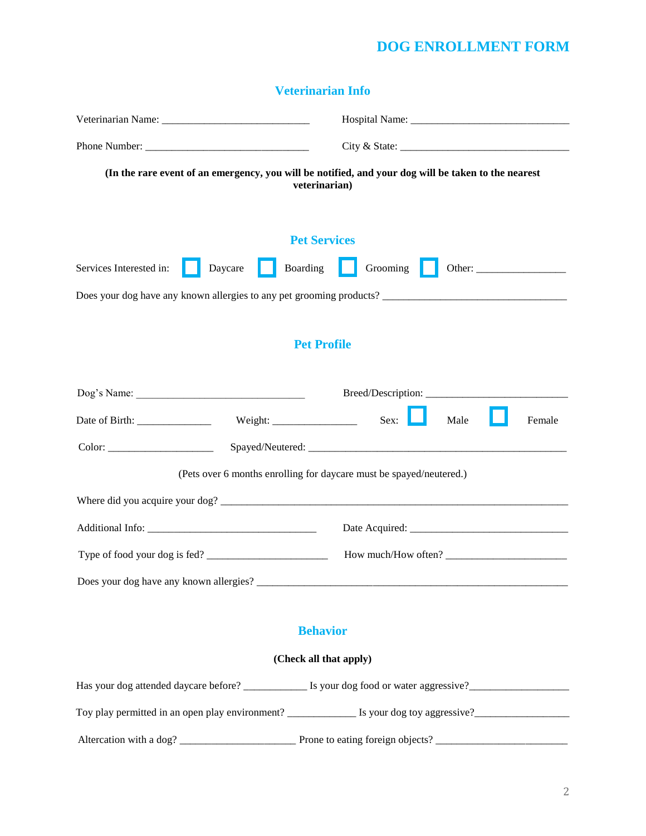|  | <b>Veterinarian Info</b> |  |
|--|--------------------------|--|
|  |                          |  |

| (In the rare event of an emergency, you will be notified, and your dog will be taken to the nearest<br>veterinarian) |                                                      |          |      |        |
|----------------------------------------------------------------------------------------------------------------------|------------------------------------------------------|----------|------|--------|
| <b>Pet Services</b>                                                                                                  |                                                      |          |      |        |
| Services Interested in:                                                                                              | Daycare<br>Boarding                                  | Grooming |      |        |
|                                                                                                                      |                                                      |          |      |        |
|                                                                                                                      |                                                      |          |      |        |
|                                                                                                                      | <b>Pet Profile</b>                                   |          |      |        |
| Dog's Name:                                                                                                          |                                                      |          |      |        |
|                                                                                                                      |                                                      | Sex:     | Male | Female |
|                                                                                                                      |                                                      |          |      |        |
| (Pets over 6 months enrolling for daycare must be spayed/neutered.)                                                  |                                                      |          |      |        |
| Where did you acquire your dog?                                                                                      |                                                      |          |      |        |
|                                                                                                                      |                                                      |          |      |        |
|                                                                                                                      | Type of food your dog is fed?<br>How much/How often? |          |      |        |
|                                                                                                                      |                                                      |          |      |        |
|                                                                                                                      |                                                      |          |      |        |
|                                                                                                                      | <b>Behavior</b>                                      |          |      |        |

# **(Check all that apply)**

| Has your dog attended daycare before?           | Is your dog food or water aggressive? |
|-------------------------------------------------|---------------------------------------|
| Toy play permitted in an open play environment? | Is your dog toy aggressive?           |

Altercation with a dog? \_\_\_\_\_\_\_\_\_\_\_\_\_\_\_\_\_\_\_\_\_\_ Prone to eating foreign objects? \_\_\_\_\_\_\_\_\_\_\_\_\_\_\_\_\_\_\_\_\_\_\_\_\_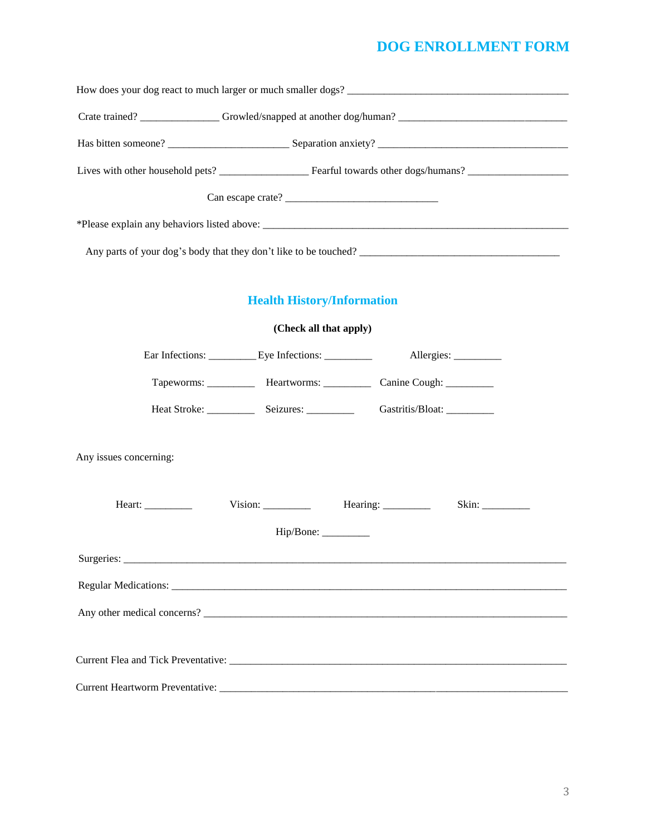| How does your dog react to much larger or much smaller dogs? |                                   |                                                                          |  |  |
|--------------------------------------------------------------|-----------------------------------|--------------------------------------------------------------------------|--|--|
|                                                              |                                   |                                                                          |  |  |
|                                                              |                                   |                                                                          |  |  |
|                                                              |                                   |                                                                          |  |  |
|                                                              | Can escape crate?                 |                                                                          |  |  |
|                                                              |                                   |                                                                          |  |  |
|                                                              |                                   |                                                                          |  |  |
|                                                              |                                   |                                                                          |  |  |
|                                                              | <b>Health History/Information</b> |                                                                          |  |  |
|                                                              | (Check all that apply)            |                                                                          |  |  |
|                                                              |                                   | Allergies: __________                                                    |  |  |
|                                                              |                                   | Tapeworms: ____________ Heartworms: ___________ Canine Cough: __________ |  |  |
|                                                              |                                   | Gastritis/Bloat: __________                                              |  |  |
| Any issues concerning:                                       |                                   |                                                                          |  |  |
| Heart: $\frac{\qquad \qquad }{\qquad \qquad }$               | Vision:                           | Hearing: __________<br>Skin:                                             |  |  |
| Hip/Bone: __________                                         |                                   |                                                                          |  |  |
|                                                              |                                   |                                                                          |  |  |
|                                                              |                                   |                                                                          |  |  |
|                                                              |                                   |                                                                          |  |  |
|                                                              |                                   |                                                                          |  |  |
|                                                              |                                   |                                                                          |  |  |
|                                                              |                                   |                                                                          |  |  |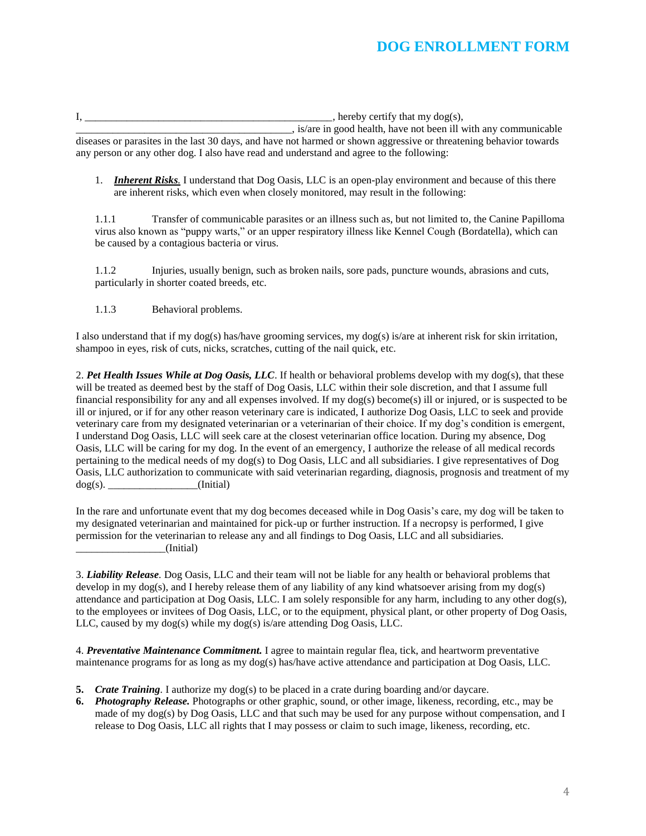$I$ , hereby certify that my dog(s), \_\_\_\_\_\_\_\_\_\_\_\_\_\_\_\_\_\_\_\_\_\_\_\_\_\_\_\_\_\_\_\_\_\_\_\_\_\_\_\_\_, is/are in good health, have not been ill with any communicable

diseases or parasites in the last 30 days, and have not harmed or shown aggressive or threatening behavior towards any person or any other dog. I also have read and understand and agree to the following:

1. *Inherent Risks.* I understand that Dog Oasis, LLC is an open-play environment and because of this there are inherent risks, which even when closely monitored, may result in the following:

1.1.1 Transfer of communicable parasites or an illness such as, but not limited to, the Canine Papilloma virus also known as "puppy warts," or an upper respiratory illness like Kennel Cough (Bordatella), which can be caused by a contagious bacteria or virus.

1.1.2 Injuries, usually benign, such as broken nails, sore pads, puncture wounds, abrasions and cuts, particularly in shorter coated breeds, etc.

1.1.3 Behavioral problems.

I also understand that if my dog(s) has/have grooming services, my dog(s) is/are at inherent risk for skin irritation, shampoo in eyes, risk of cuts, nicks, scratches, cutting of the nail quick, etc.

2. *Pet Health Issues While at Dog Oasis, LLC*. If health or behavioral problems develop with my dog(s), that these will be treated as deemed best by the staff of Dog Oasis, LLC within their sole discretion, and that I assume full financial responsibility for any and all expenses involved. If my dog(s) become(s) ill or injured, or is suspected to be ill or injured, or if for any other reason veterinary care is indicated, I authorize Dog Oasis, LLC to seek and provide veterinary care from my designated veterinarian or a veterinarian of their choice. If my dog's condition is emergent, I understand Dog Oasis, LLC will seek care at the closest veterinarian office location. During my absence, Dog Oasis, LLC will be caring for my dog. In the event of an emergency, I authorize the release of all medical records pertaining to the medical needs of my dog(s) to Dog Oasis, LLC and all subsidiaries. I give representatives of Dog Oasis, LLC authorization to communicate with said veterinarian regarding, diagnosis, prognosis and treatment of my  $dog(s)$ . (Initial)

In the rare and unfortunate event that my dog becomes deceased while in Dog Oasis's care, my dog will be taken to my designated veterinarian and maintained for pick-up or further instruction. If a necropsy is performed, I give permission for the veterinarian to release any and all findings to Dog Oasis, LLC and all subsidiaries. \_\_\_\_\_\_\_\_\_\_\_\_\_\_\_\_\_(Initial)

3. *Liability Release.* Dog Oasis, LLC and their team will not be liable for any health or behavioral problems that develop in my dog(s), and I hereby release them of any liability of any kind whatsoever arising from my dog(s) attendance and participation at Dog Oasis, LLC. I am solely responsible for any harm, including to any other dog(s), to the employees or invitees of Dog Oasis, LLC, or to the equipment, physical plant, or other property of Dog Oasis, LLC, caused by my dog(s) while my dog(s) is/are attending Dog Oasis, LLC.

4. *Preventative Maintenance Commitment.* I agree to maintain regular flea, tick, and heartworm preventative maintenance programs for as long as my dog(s) has/have active attendance and participation at Dog Oasis, LLC.

- **5.** *Crate Training.* I authorize my dog(s) to be placed in a crate during boarding and/or daycare.
- **6.** *Photography Release.* Photographs or other graphic, sound, or other image, likeness, recording, etc., may be made of my dog(s) by Dog Oasis, LLC and that such may be used for any purpose without compensation, and I release to Dog Oasis, LLC all rights that I may possess or claim to such image, likeness, recording, etc.